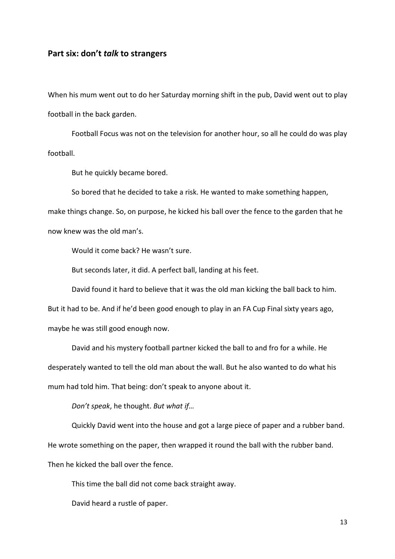## Part six: don't talk to strangers

When his mum went out to do her Saturday morning shift in the pub, David went out to play football in the back garden.

 Football Focus was not on the television for another hour, so all he could do was play football.

But he quickly became bored.

 So bored that he decided to take a risk. He wanted to make something happen, make things change. So, on purpose, he kicked his ball over the fence to the garden that he now knew was the old man's.

Would it come back? He wasn't sure.

But seconds later, it did. A perfect ball, landing at his feet.

David found it hard to believe that it was the old man kicking the ball back to him.

But it had to be. And if he'd been good enough to play in an FA Cup Final sixty years ago, maybe he was still good enough now.

 David and his mystery football partner kicked the ball to and fro for a while. He desperately wanted to tell the old man about the wall. But he also wanted to do what his mum had told him. That being: don't speak to anyone about it.

Don't speak, he thought. But what if…

Quickly David went into the house and got a large piece of paper and a rubber band.

He wrote something on the paper, then wrapped it round the ball with the rubber band.

Then he kicked the ball over the fence.

This time the ball did not come back straight away.

David heard a rustle of paper.

13